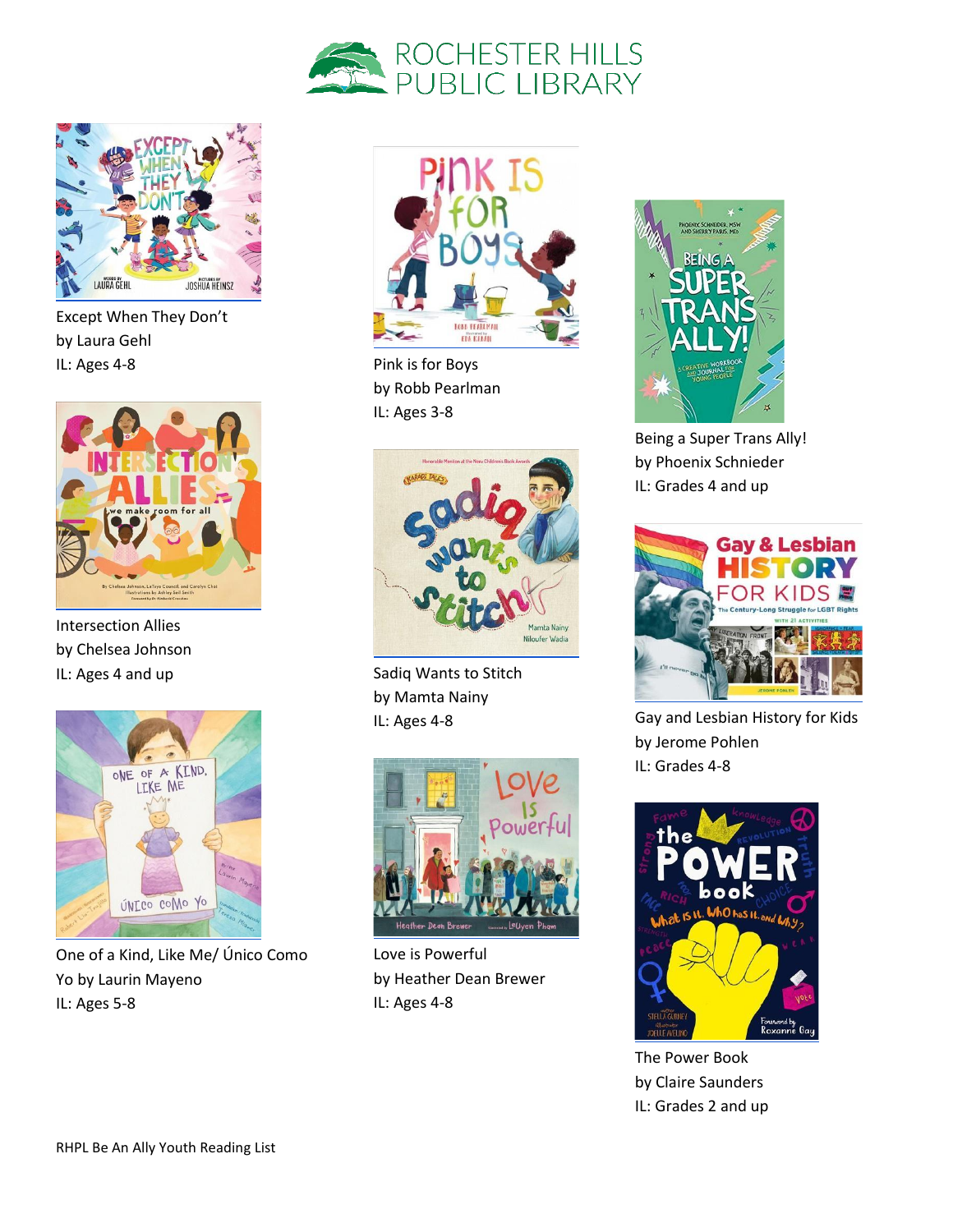



Except When They Don't by Laura Gehl IL: Ages 4-8



Intersection Allies by Chelsea Johnson IL: Ages 4 and up



One of a Kind, Like Me/ Único Como Yo by Laurin Mayeno IL: Ages 5-8



Pink is for Boys by Robb Pearlman IL: Ages 3-8



Sadiq Wants to Stitch by Mamta Nainy IL: Ages 4-8



Love is Powerful by Heather Dean Brewer IL: Ages 4-8



Being a Super Trans Ally! by Phoenix Schnieder IL: Grades 4 and up



Gay and Lesbian History for Kids by Jerome Pohlen IL: Grades 4-8



The Power Book by Claire Saunders IL: Grades 2 and up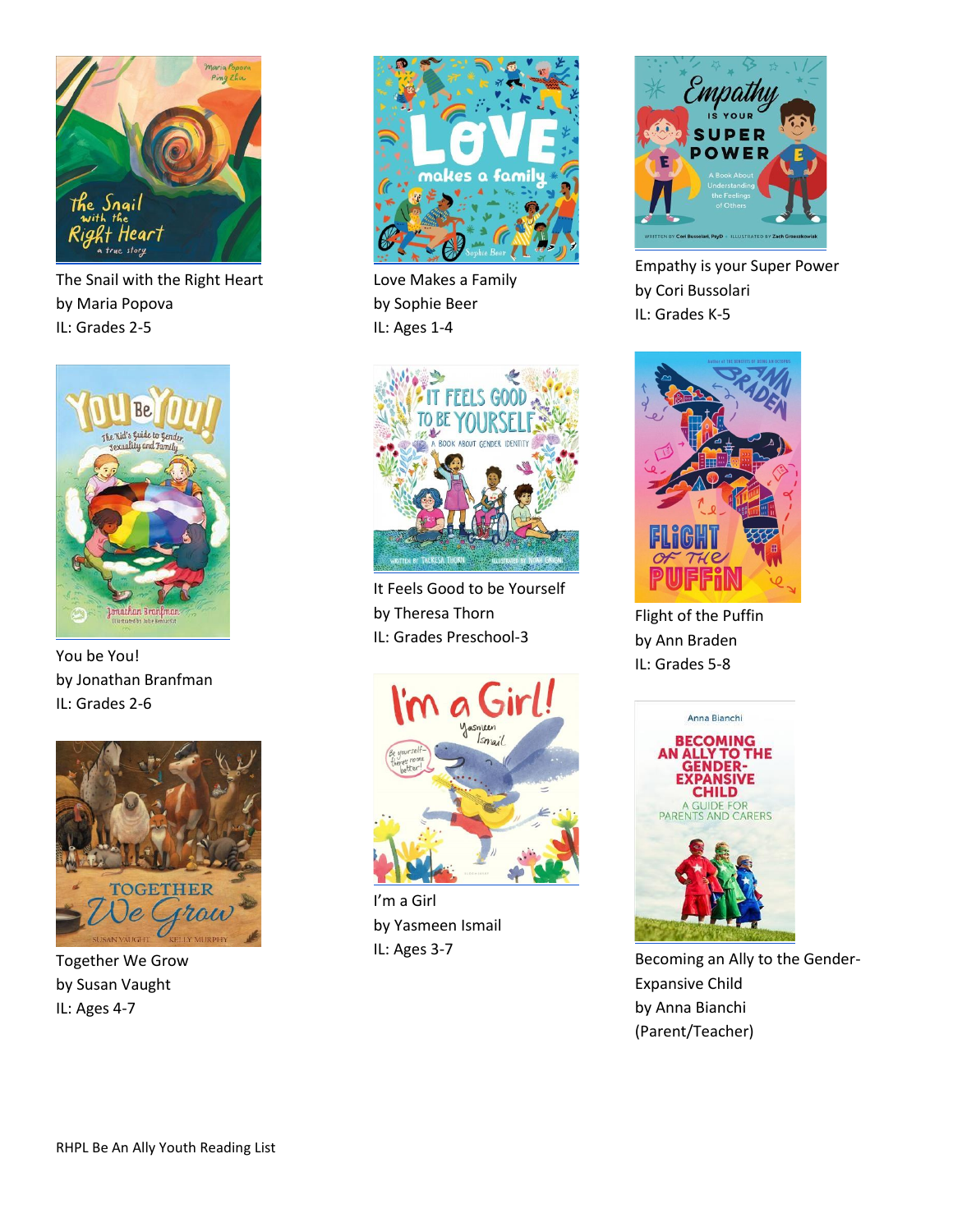

The Snail with the Right Heart by Maria Popova IL: Grades 2-5



You be You! by Jonathan Branfman IL: Grades 2-6



Together We Grow by Susan Vaught IL: Ages 4-7



Love Makes a Family by Sophie Beer IL: Ages 1-4



It Feels Good to be Yourself by Theresa Thorn IL: Grades Preschool-3



I'm a Girl by Yasmeen Ismail IL: Ages 3-7



Empathy is your Super Power by Cori Bussolari IL: Grades K-5



Flight of the Puffin by Ann Braden IL: Grades 5-8



Becoming an Ally to the Gender-Expansive Child by Anna Bianchi (Parent/Teacher)